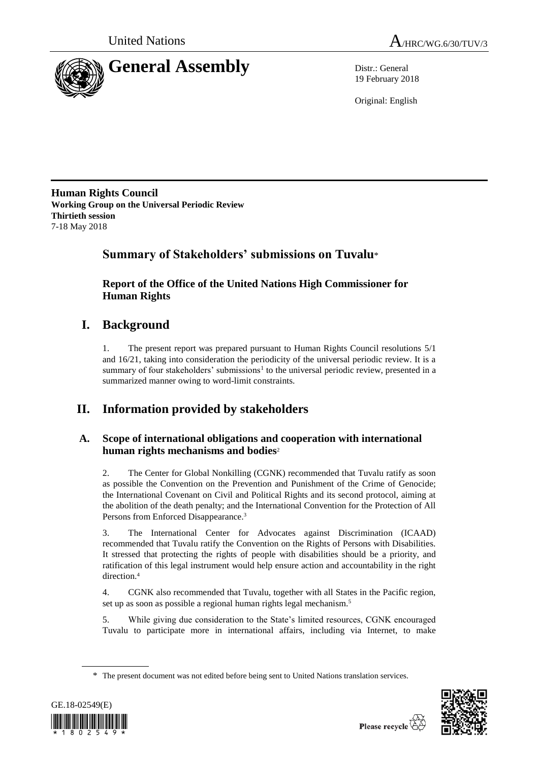

19 February 2018

Original: English

**Human Rights Council Working Group on the Universal Periodic Review Thirtieth session** 7-18 May 2018

## **Summary of Stakeholders' submissions on Tuvalu**\*

**Report of the Office of the United Nations High Commissioner for Human Rights**

# **I. Background**

1. The present report was prepared pursuant to Human Rights Council resolutions 5/1 and 16/21, taking into consideration the periodicity of the universal periodic review. It is a summary of four stakeholders' submissions<sup>1</sup> to the universal periodic review, presented in a summarized manner owing to word-limit constraints.

# **II. Information provided by stakeholders**

## **A. Scope of international obligations and cooperation with international human rights mechanisms and bodies**<sup>2</sup>

2. The Center for Global Nonkilling (CGNK) recommended that Tuvalu ratify as soon as possible the Convention on the Prevention and Punishment of the Crime of Genocide; the International Covenant on Civil and Political Rights and its second protocol, aiming at the abolition of the death penalty; and the International Convention for the Protection of All Persons from Enforced Disappearance.<sup>3</sup>

3. The International Center for Advocates against Discrimination (ICAAD) recommended that Tuvalu ratify the Convention on the Rights of Persons with Disabilities. It stressed that protecting the rights of people with disabilities should be a priority, and ratification of this legal instrument would help ensure action and accountability in the right direction.<sup>4</sup>

4. CGNK also recommended that Tuvalu, together with all States in the Pacific region, set up as soon as possible a regional human rights legal mechanism.<sup>5</sup>

5. While giving due consideration to the State's limited resources, CGNK encouraged Tuvalu to participate more in international affairs, including via Internet, to make

<sup>\*</sup> The present document was not edited before being sent to United Nations translation services.



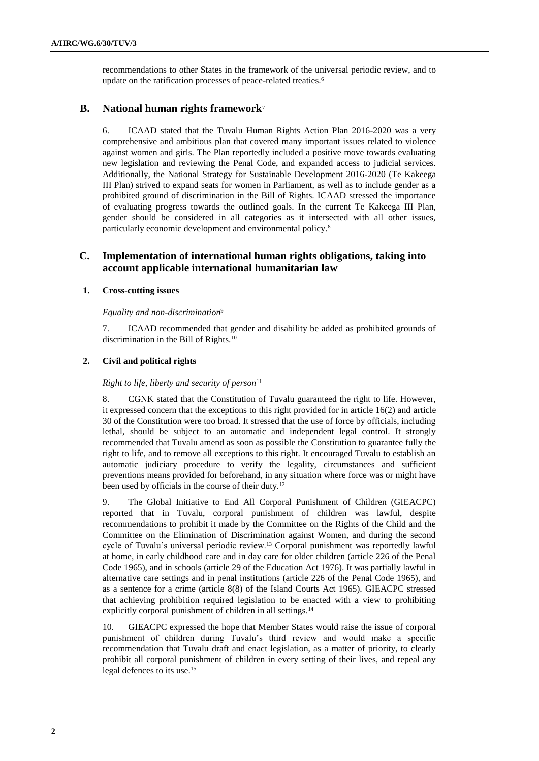recommendations to other States in the framework of the universal periodic review, and to update on the ratification processes of peace-related treaties.<sup>6</sup>

### **B. National human rights framework**<sup>7</sup>

6. ICAAD stated that the Tuvalu Human Rights Action Plan 2016-2020 was a very comprehensive and ambitious plan that covered many important issues related to violence against women and girls. The Plan reportedly included a positive move towards evaluating new legislation and reviewing the Penal Code, and expanded access to judicial services. Additionally, the National Strategy for Sustainable Development 2016-2020 (Te Kakeega III Plan) strived to expand seats for women in Parliament, as well as to include gender as a prohibited ground of discrimination in the Bill of Rights. ICAAD stressed the importance of evaluating progress towards the outlined goals. In the current Te Kakeega III Plan, gender should be considered in all categories as it intersected with all other issues, particularly economic development and environmental policy.<sup>8</sup>

## **C. Implementation of international human rights obligations, taking into account applicable international humanitarian law**

### **1. Cross-cutting issues**

#### *Equality and non-discrimination*<sup>9</sup>

7. ICAAD recommended that gender and disability be added as prohibited grounds of discrimination in the Bill of Rights.<sup>10</sup>

#### **2. Civil and political rights**

#### *Right to life, liberty and security of person*<sup>11</sup>

8. CGNK stated that the Constitution of Tuvalu guaranteed the right to life. However, it expressed concern that the exceptions to this right provided for in article 16(2) and article 30 of the Constitution were too broad. It stressed that the use of force by officials, including lethal, should be subject to an automatic and independent legal control. It strongly recommended that Tuvalu amend as soon as possible the Constitution to guarantee fully the right to life, and to remove all exceptions to this right. It encouraged Tuvalu to establish an automatic judiciary procedure to verify the legality, circumstances and sufficient preventions means provided for beforehand, in any situation where force was or might have been used by officials in the course of their duty.<sup>12</sup>

9. The Global Initiative to End All Corporal Punishment of Children (GIEACPC) reported that in Tuvalu, corporal punishment of children was lawful, despite recommendations to prohibit it made by the Committee on the Rights of the Child and the Committee on the Elimination of Discrimination against Women, and during the second cycle of Tuvalu's universal periodic review.<sup>13</sup> Corporal punishment was reportedly lawful at home, in early childhood care and in day care for older children (article 226 of the Penal Code 1965), and in schools (article 29 of the Education Act 1976). It was partially lawful in alternative care settings and in penal institutions (article 226 of the Penal Code 1965), and as a sentence for a crime (article 8(8) of the Island Courts Act 1965). GIEACPC stressed that achieving prohibition required legislation to be enacted with a view to prohibiting explicitly corporal punishment of children in all settings.<sup>14</sup>

10. GIEACPC expressed the hope that Member States would raise the issue of corporal punishment of children during Tuvalu's third review and would make a specific recommendation that Tuvalu draft and enact legislation, as a matter of priority, to clearly prohibit all corporal punishment of children in every setting of their lives, and repeal any legal defences to its use.15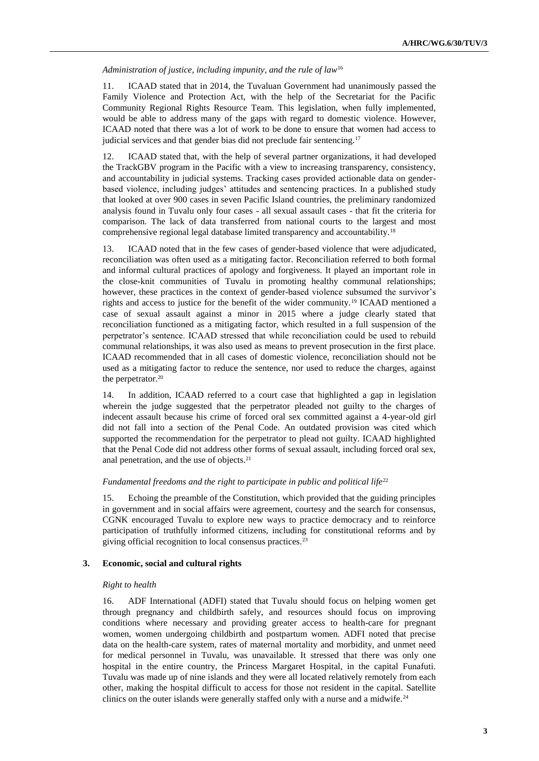#### *Administration of justice, including impunity, and the rule of law*<sup>16</sup>

11. ICAAD stated that in 2014, the Tuvaluan Government had unanimously passed the Family Violence and Protection Act, with the help of the Secretariat for the Pacific Community Regional Rights Resource Team. This legislation, when fully implemented, would be able to address many of the gaps with regard to domestic violence. However, ICAAD noted that there was a lot of work to be done to ensure that women had access to judicial services and that gender bias did not preclude fair sentencing.<sup>17</sup>

12. ICAAD stated that, with the help of several partner organizations, it had developed the TrackGBV program in the Pacific with a view to increasing transparency, consistency, and accountability in judicial systems. Tracking cases provided actionable data on genderbased violence, including judges' attitudes and sentencing practices. In a published study that looked at over 900 cases in seven Pacific Island countries, the preliminary randomized analysis found in Tuvalu only four cases - all sexual assault cases - that fit the criteria for comparison. The lack of data transferred from national courts to the largest and most comprehensive regional legal database limited transparency and accountability.<sup>18</sup>

13. ICAAD noted that in the few cases of gender-based violence that were adjudicated, reconciliation was often used as a mitigating factor. Reconciliation referred to both formal and informal cultural practices of apology and forgiveness. It played an important role in the close-knit communities of Tuvalu in promoting healthy communal relationships; however, these practices in the context of gender-based violence subsumed the survivor's rights and access to justice for the benefit of the wider community.<sup>19</sup> ICAAD mentioned a case of sexual assault against a minor in 2015 where a judge clearly stated that reconciliation functioned as a mitigating factor, which resulted in a full suspension of the perpetrator's sentence. ICAAD stressed that while reconciliation could be used to rebuild communal relationships, it was also used as means to prevent prosecution in the first place. ICAAD recommended that in all cases of domestic violence, reconciliation should not be used as a mitigating factor to reduce the sentence, nor used to reduce the charges, against the perpetrator.<sup>20</sup>

14. In addition, ICAAD referred to a court case that highlighted a gap in legislation wherein the judge suggested that the perpetrator pleaded not guilty to the charges of indecent assault because his crime of forced oral sex committed against a 4-year-old girl did not fall into a section of the Penal Code. An outdated provision was cited which supported the recommendation for the perpetrator to plead not guilty. ICAAD highlighted that the Penal Code did not address other forms of sexual assault, including forced oral sex, anal penetration, and the use of objects.<sup>21</sup>

#### *Fundamental freedoms and the right to participate in public and political life*<sup>22</sup>

15. Echoing the preamble of the Constitution, which provided that the guiding principles in government and in social affairs were agreement, courtesy and the search for consensus, CGNK encouraged Tuvalu to explore new ways to practice democracy and to reinforce participation of truthfully informed citizens, including for constitutional reforms and by giving official recognition to local consensus practices.<sup>23</sup>

#### **3. Economic, social and cultural rights**

#### *Right to health*

16. ADF International (ADFI) stated that Tuvalu should focus on helping women get through pregnancy and childbirth safely, and resources should focus on improving conditions where necessary and providing greater access to health-care for pregnant women, women undergoing childbirth and postpartum women. ADFI noted that precise data on the health-care system, rates of maternal mortality and morbidity, and unmet need for medical personnel in Tuvalu, was unavailable. It stressed that there was only one hospital in the entire country, the Princess Margaret Hospital, in the capital Funafuti. Tuvalu was made up of nine islands and they were all located relatively remotely from each other, making the hospital difficult to access for those not resident in the capital. Satellite clinics on the outer islands were generally staffed only with a nurse and a midwife.<sup>24</sup>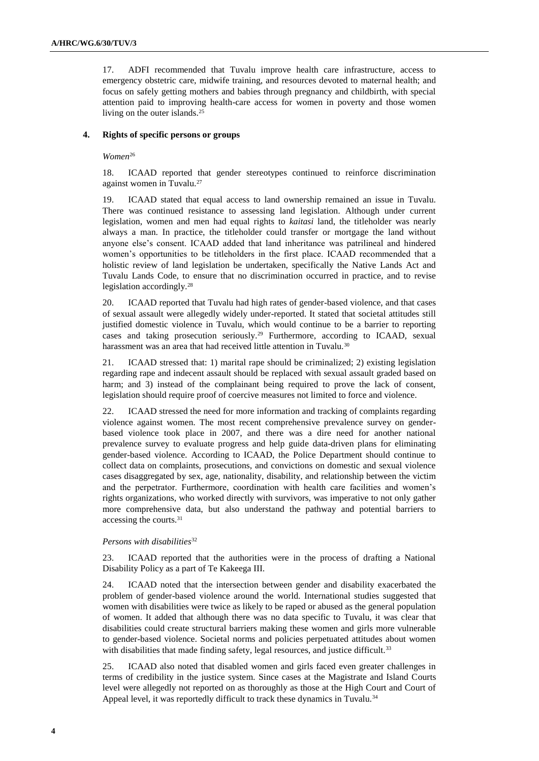17. ADFI recommended that Tuvalu improve health care infrastructure, access to emergency obstetric care, midwife training, and resources devoted to maternal health; and focus on safely getting mothers and babies through pregnancy and childbirth, with special attention paid to improving health-care access for women in poverty and those women living on the outer islands.<sup>25</sup>

#### **4. Rights of specific persons or groups**

*Women*<sup>26</sup>

18. ICAAD reported that gender stereotypes continued to reinforce discrimination against women in Tuvalu.<sup>27</sup>

19. ICAAD stated that equal access to land ownership remained an issue in Tuvalu. There was continued resistance to assessing land legislation. Although under current legislation, women and men had equal rights to *kaitasi* land, the titleholder was nearly always a man. In practice, the titleholder could transfer or mortgage the land without anyone else's consent. ICAAD added that land inheritance was patrilineal and hindered women's opportunities to be titleholders in the first place. ICAAD recommended that a holistic review of land legislation be undertaken, specifically the Native Lands Act and Tuvalu Lands Code, to ensure that no discrimination occurred in practice, and to revise legislation accordingly.<sup>28</sup>

20. ICAAD reported that Tuvalu had high rates of gender-based violence, and that cases of sexual assault were allegedly widely under-reported. It stated that societal attitudes still justified domestic violence in Tuvalu, which would continue to be a barrier to reporting cases and taking prosecution seriously.<sup>29</sup> Furthermore, according to ICAAD, sexual harassment was an area that had received little attention in Tuvalu.<sup>30</sup>

21. ICAAD stressed that: 1) marital rape should be criminalized; 2) existing legislation regarding rape and indecent assault should be replaced with sexual assault graded based on harm; and 3) instead of the complainant being required to prove the lack of consent, legislation should require proof of coercive measures not limited to force and violence.

22. ICAAD stressed the need for more information and tracking of complaints regarding violence against women. The most recent comprehensive prevalence survey on genderbased violence took place in 2007, and there was a dire need for another national prevalence survey to evaluate progress and help guide data-driven plans for eliminating gender-based violence. According to ICAAD, the Police Department should continue to collect data on complaints, prosecutions, and convictions on domestic and sexual violence cases disaggregated by sex, age, nationality, disability, and relationship between the victim and the perpetrator. Furthermore, coordination with health care facilities and women's rights organizations, who worked directly with survivors, was imperative to not only gather more comprehensive data, but also understand the pathway and potential barriers to accessing the courts.<sup>31</sup>

#### *Persons with disabilities*<sup>32</sup>

23. ICAAD reported that the authorities were in the process of drafting a National Disability Policy as a part of Te Kakeega III.

24. ICAAD noted that the intersection between gender and disability exacerbated the problem of gender-based violence around the world. International studies suggested that women with disabilities were twice as likely to be raped or abused as the general population of women. It added that although there was no data specific to Tuvalu, it was clear that disabilities could create structural barriers making these women and girls more vulnerable to gender-based violence. Societal norms and policies perpetuated attitudes about women with disabilities that made finding safety, legal resources, and justice difficult.<sup>33</sup>

25. ICAAD also noted that disabled women and girls faced even greater challenges in terms of credibility in the justice system. Since cases at the Magistrate and Island Courts level were allegedly not reported on as thoroughly as those at the High Court and Court of Appeal level, it was reportedly difficult to track these dynamics in Tuvalu.<sup>34</sup>